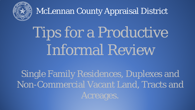

# Tips for a Productive Informal Review

Single Family Residences, Duplexes and Non-Commercial Vacant Land, Tracts and Acreages.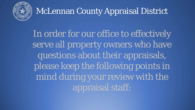

In order for our office to effectively serve all property owners who have questions about their appraisals, please keep the following points in mind during your review with the appraisal staff: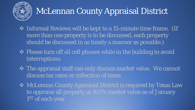

- Informal Reviews will be kept to a 15-minute time frame. (If more than one property is to be discussed, each property should be discussed in as timely a manner as possible.)
- ◆ Please turn off all cell phones while in the building to avoid interruptions.
- ◆ The appraisal staff can only discuss market value. We cannot discuss tax rates or collection of taxes.
- ◆ McLennan County Appraisal District is required by Texas Law to appraise all property at 100% market value as of January 1<sup>ST</sup> of each year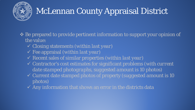

- $\triangle$  **Be prepared to provide pertinent information to support your opinion of** the value:
	- Closing statements (*within last year*)
	- Fee appraisal (*within last year*)
	- Recent sales of similar properties (*within last year*)
	- Contractor's cost estimates for significant problems (*with current date stamped photographs, suggested amount is 10 photos*)
	- Current date stamped photos of property (*suggested amount is 10 photos*)
	- $\sqrt{2}$  Any information that shows an error in the districts data